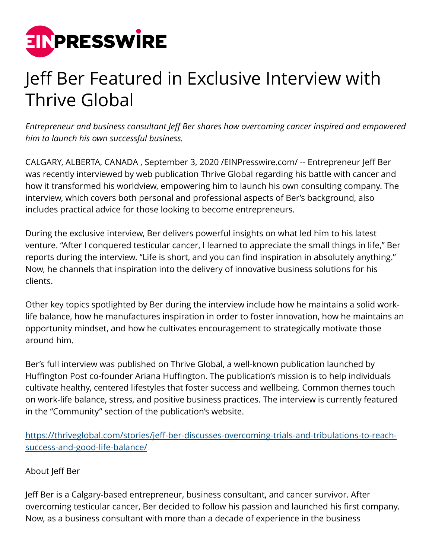

## Jeff Ber Featured in Exclusive Interview with Thrive Global

*Entrepreneur and business consultant Jeff Ber shares how overcoming cancer inspired and empowered him to launch his own successful business.* 

CALGARY, ALBERTA, CANADA , September 3, 2020 /[EINPresswire.com/](http://www.einpresswire.com) -- Entrepreneur Jeff Ber was recently interviewed by web publication Thrive Global regarding his battle with cancer and how it transformed his worldview, empowering him to launch his own consulting company. The interview, which covers both personal and professional aspects of Ber's background, also includes practical advice for those looking to become entrepreneurs.

During the exclusive interview, Ber delivers powerful insights on what led him to his latest venture. "After I conquered testicular cancer, I learned to appreciate the small things in life," Ber reports during the interview. "Life is short, and you can find inspiration in absolutely anything." Now, he channels that inspiration into the delivery of innovative business solutions for his clients.

Other key topics spotlighted by Ber during the interview include how he maintains a solid worklife balance, how he manufactures inspiration in order to foster innovation, how he maintains an opportunity mindset, and how he cultivates encouragement to strategically motivate those around him.

Ber's full interview was published on Thrive Global, a well-known publication launched by Huffington Post co-founder Ariana Huffington. The publication's mission is to help individuals cultivate healthy, centered lifestyles that foster success and wellbeing. Common themes touch on work-life balance, stress, and positive business practices. The interview is currently featured in the "Community" section of the publication's website.

[https://thriveglobal.com/stories/jeff-ber-discusses-overcoming-trials-and-tribulations-to-reach](https://thriveglobal.com/stories/jeff-ber-discusses-overcoming-trials-and-tribulations-to-reach-success-and-good-life-balance/)[success-and-good-life-balance/](https://thriveglobal.com/stories/jeff-ber-discusses-overcoming-trials-and-tribulations-to-reach-success-and-good-life-balance/)

## About Jeff Ber

Jeff Ber is a Calgary-based entrepreneur, business consultant, and cancer survivor. After overcoming testicular cancer, Ber decided to follow his passion and launched his first company. Now, as a business consultant with more than a decade of experience in the business